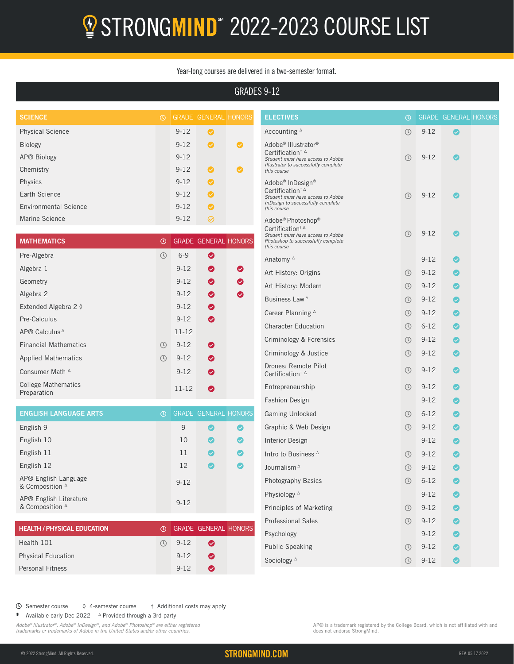# **2** STRONGMIND<sup>\*</sup> 2022-2023 COURSE LIST

#### Year-long courses are delivered in a two-semester format.

### GRADES 9-12

| <b>SCIENCE</b>               | $\odot$ |          | <b>GRADE GENERAL HONORS</b> |   |
|------------------------------|---------|----------|-----------------------------|---|
| <b>Physical Science</b>      |         | $9 - 12$ |                             |   |
| <b>Biology</b>               |         | $9 - 12$ |                             |   |
| AP® Biology                  |         | $9 - 12$ |                             |   |
| Chemistry                    |         | $9 - 12$ |                             | ✓ |
| Physics                      |         | $9 - 12$ |                             |   |
| Earth Science                |         | $9 - 12$ |                             |   |
| <b>Environmental Science</b> |         | $9 - 12$ |                             |   |
| Marine Science               |         | $9 - 12$ |                             |   |
|                              |         |          |                             |   |

| <b>MATHEMATICS</b>                        | ᠗              |           | <b>GRADE GENERAL HONORS</b> |   |
|-------------------------------------------|----------------|-----------|-----------------------------|---|
| Pre-Algebra                               | $\circledcirc$ | $6 - 9$   | ◙                           |   |
| Algebra 1                                 |                | $9 - 12$  | ◙                           | ◙ |
| Geometry                                  |                | $9 - 12$  | ◙                           | ◙ |
| Algebra 2                                 |                | $9 - 12$  | ◙                           | ◙ |
| Extended Algebra 2 ♦                      |                | $9 - 12$  | ◙                           |   |
| Pre-Calculus                              |                | $9 - 12$  | ◙                           |   |
| AP® Calculus <sup>∆</sup>                 |                | $11 - 12$ |                             |   |
| <b>Financial Mathematics</b>              | $\circledR$    | $9 - 12$  | ◙                           |   |
| <b>Applied Mathematics</b>                | $\circledR$    | $9 - 12$  | ◙                           |   |
| Consumer Math <sup>△</sup>                |                | $9 - 12$  | ◙                           |   |
| <b>College Mathematics</b><br>Preparation |                | $11 - 12$ | ❷                           |   |

| <b>ENGLISH LANGUAGE ARTS</b>                         | $\circledR$ |          | <b>GRADE GENERAL HONORS</b> |                       |
|------------------------------------------------------|-------------|----------|-----------------------------|-----------------------|
| English 9                                            |             | 9        | $\checkmark$                | $\boldsymbol{\omega}$ |
| English 10                                           |             | 10       | $\checkmark$                | Ø                     |
| English 11                                           |             | 11       | $\checkmark$                | Ø                     |
| English 12                                           |             | 12       | $\checkmark$                | $\omega$              |
| AP® English Language<br>& Composition <sup>△</sup>   |             | $9 - 12$ |                             |                       |
| AP® English Literature<br>& Composition <sup>△</sup> |             | $9 - 12$ |                             |                       |

| <b>HEALTH / PHYSICAL EDUCATION</b> | രു |                                                        | GRADE GENERAL HONORS |  |
|------------------------------------|----|--------------------------------------------------------|----------------------|--|
| Health 101                         |    | $\begin{array}{cc} \textcircled{1} & 9-12 \end{array}$ | $\bullet$            |  |
| <b>Physical Education</b>          |    | $9-12$                                                 | $\bullet$            |  |
| <b>Personal Fitness</b>            |    | $9 - 12$                                               | $\bullet$            |  |

| <b>ELECTIVES</b>                                                                                                                                                      | $_{\tiny\textregistered}$ |          | <b>GRADE GENERAL HONORS</b> |  |
|-----------------------------------------------------------------------------------------------------------------------------------------------------------------------|---------------------------|----------|-----------------------------|--|
| Accounting $\triangle$                                                                                                                                                | $\circled{r}$             | $9 - 12$ | $\bullet$                   |  |
| Adobe <sup>®</sup> Illustrator <sup>®</sup><br>Certification <sup>†</sup><br>Student must have access to Adobe<br>Illustrator to successfully complete<br>this course | $\circledcirc$            | $9 - 12$ | $\bm{\omega}$               |  |
| Adobe® InDesign®<br>Certification <sup>†</sup><br>Student must have access to Adobe<br>InDesign to successfully complete<br>this course                               | $\circledcirc$            | $9 - 12$ | $\boldsymbol{\omega}$       |  |
| Adobe <sup>®</sup> Photoshop®<br>Certification <sup>†</sup><br>Student must have access to Adobe<br>Photoshop to successfully complete<br>this course                 | ⊕                         | $9 - 12$ | Ø                           |  |
| Anatomy $\triangle$                                                                                                                                                   |                           | $9 - 12$ |                             |  |
| Art History: Origins                                                                                                                                                  | $\circledcirc$            | $9 - 12$ | ◙                           |  |
| Art History: Modern                                                                                                                                                   | $\circledcirc$            | $9 - 12$ | ◙                           |  |
| Business Law $\triangle$                                                                                                                                              | $\circledcirc$            | $9 - 12$ | ◙                           |  |
| Career Planning <sup>A</sup>                                                                                                                                          | $\circledcirc$            | $9 - 12$ | ◙                           |  |
| <b>Character Education</b>                                                                                                                                            | $\circledcirc$            | $6 - 12$ | ◙                           |  |
| Criminology & Forensics                                                                                                                                               | $\circledcirc$            | $9 - 12$ | ◙                           |  |
| Criminology & Justice                                                                                                                                                 | ⊙                         | $9 - 12$ | ◙                           |  |
| Drones: Remote Pilot<br>Certification <sup>† <math>\triangle</math></sup>                                                                                             | $\circledcirc$            | $9 - 12$ | Ø                           |  |
| Entrepreneurship                                                                                                                                                      | ⊕                         | $9 - 12$ | Ø                           |  |
| <b>Fashion Design</b>                                                                                                                                                 |                           | $9 - 12$ | ◙                           |  |
| Gaming Unlocked                                                                                                                                                       | $\circledcirc$            | $6 - 12$ | ◙                           |  |
| Graphic & Web Design                                                                                                                                                  | ⊕                         | $9 - 12$ | Ø                           |  |
| <b>Interior Design</b>                                                                                                                                                |                           | $9 - 12$ | ◙                           |  |
| Intro to Business ∆                                                                                                                                                   | $\circledcirc$            | $9 - 12$ | ◙                           |  |
| Journalism $^{\Delta}$                                                                                                                                                | $\circledcirc$            | $9 - 12$ | Ø                           |  |
| Photography Basics                                                                                                                                                    | $\circledcirc$            | $6 - 12$ | Ø                           |  |
| Physiology <sup>△</sup>                                                                                                                                               |                           | $9 - 12$ |                             |  |
| Principles of Marketing                                                                                                                                               | $\odot$                   | $9 - 12$ | 0                           |  |
| <b>Professional Sales</b>                                                                                                                                             | $\odot$                   | $9 - 12$ |                             |  |
| Psychology                                                                                                                                                            |                           | $9 - 12$ | 0                           |  |
| <b>Public Speaking</b>                                                                                                                                                | $\odot$                   | $9 - 12$ | ❤                           |  |
| Sociology <sup>A</sup>                                                                                                                                                | $\odot$                   | $9 - 12$ | Ø                           |  |

Semester course ◊ 4-semester course † Additional costs may apply

\* Available early Dec 2022 Δ Provided through a 3rd party

*Adobe® Illustrator®, Adobe® InDesign®, and Adobe® Photoshop® are either registered trademarks or trademarks of Adobe in the United States and/or other countries.*

© 2022 StrongMind. All Rights Reserved. STRONGMIND.COM

AP® is a trademark registered by the College Board, which is not affiliated with and does not endorse StrongMind.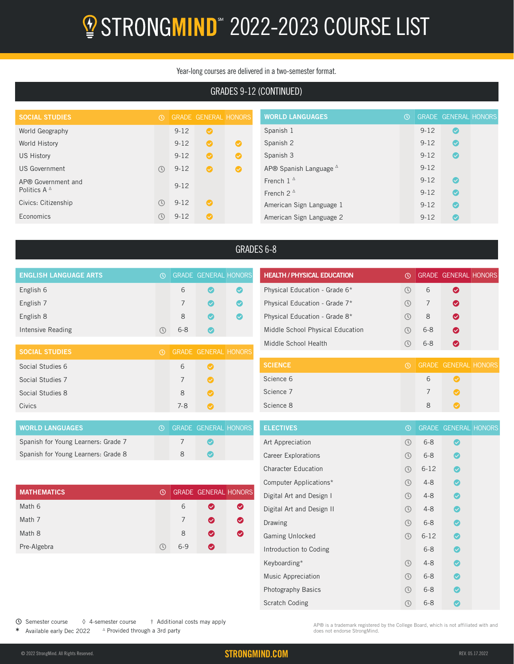# **2** STRONGMIND<sup>\*</sup> 2022-2023 COURSE LIST

#### Year-long courses are delivered in a two-semester format.

### GRADES 9-12 (CONTINUED)

| <b>SOCIAL STUDIES</b> | $\odot$                    |          | <b>GRADE GENERAL HONORS</b> |   | <b>WORLD</b> |
|-----------------------|----------------------------|----------|-----------------------------|---|--------------|
| World Geography       |                            | $9 - 12$ | Ø                           |   | Spanish      |
| World History         |                            | $9 - 12$ | Ø                           | ◙ | Spanish      |
| <b>US History</b>     |                            | $9 - 12$ | Ø                           | ◙ | Spanish      |
| <b>US Government</b>  | $\circ$                    | $9 - 12$ | ◙                           | ◙ | AP® Sp       |
| AP® Government and    |                            | $9 - 12$ |                             |   | French       |
| Politics $A^{\Delta}$ |                            |          |                             |   | French:      |
| Civics: Citizenship   | $\circ$                    | $9 - 12$ | Ø                           |   | America      |
| Economics             | $\left( \mathbb{C}\right)$ | $9 - 12$ |                             |   | America      |

| <b>WORLD LANGUAGES</b>            | $\odot$ |          | <b>GRADE GENERAL HONORS</b> |  |
|-----------------------------------|---------|----------|-----------------------------|--|
| Spanish 1                         |         | $9 - 12$ | Ø                           |  |
| Spanish 2                         |         | $9 - 12$ | $\boldsymbol{\mathcal{S}}$  |  |
| Spanish 3                         |         | $9 - 12$ |                             |  |
| AP® Spanish Language <sup>△</sup> |         | $9 - 12$ |                             |  |
| French $1^{\Delta}$               |         | $9 - 12$ | $\boldsymbol{\mathcal{S}}$  |  |
| French $2^{\Delta}$               |         | $9 - 12$ |                             |  |
| American Sign Language 1          |         | $9 - 12$ |                             |  |
| American Sign Language 2          |         | $9 - 12$ |                             |  |

### GRADES 6-8

| <b>ENGLISH LANGUAGE ARTS</b> | $\odot$ |         | <b>GRADE GENERAL HONORS</b> |           | <b>HEALTH / PHYSICAL EDUCATION</b> | $\odot$        |         | <b>GRADE GENERAL HONORS</b> |  |
|------------------------------|---------|---------|-----------------------------|-----------|------------------------------------|----------------|---------|-----------------------------|--|
| English 6                    |         | 6       | $\bullet$                   | $\bullet$ | Physical Education - Grade 6*      | $\circledcirc$ | 6       | $\bullet$                   |  |
| English 7                    |         |         | $\bullet$                   | $\bullet$ | Physical Education - Grade 7*      | $\circled{0}$  |         | $\bullet$                   |  |
| English 8                    |         | 8       | $\bullet$                   | $\bullet$ | Physical Education - Grade 8*      | $\odot$        | 8       | $\bullet$                   |  |
| Intensive Reading            | $\circ$ | $6 - 8$ | $\bullet$                   |           | Middle School Physical Education   | O)             | $6 - 8$ | $\bullet$                   |  |
|                              |         |         |                             |           | Middle School Health               | $\odot$        | $6 - 8$ | $\bullet$                   |  |
| <b>SOCIAL STUDIES</b>        | $\circ$ |         | GRADE GENERAL HONORS        |           |                                    |                |         |                             |  |
| Social Studies 6             |         | 6       | $\bullet$                   |           | <b>SCIENCE</b>                     | $\omega$       |         | <b>GRADE GENERAL HONORS</b> |  |
| Social Studies 7             |         |         |                             |           | Science 6                          |                | 6       | $\omega$                    |  |

| Social Studies 7 |         |  |
|------------------|---------|--|
| Social Studies 8 | 8       |  |
| Civics           | $7 - 8$ |  |
|                  |         |  |

| <b>WORLD LANGUAGES</b>              |  | O GRADE GENERAL HONORS |  |
|-------------------------------------|--|------------------------|--|
| Spanish for Young Learners: Grade 7 |  |                        |  |
| Spanish for Young Learners: Grade 8 |  | $\sim$                 |  |

| <b>MATHEMATICS</b> | $\circledR$ |       | GRADE GENERAL HONORS |   |
|--------------------|-------------|-------|----------------------|---|
| Math 6             |             | 6     | Ø                    | ◙ |
| Math 7             |             | 7     | $\bullet$            | Ø |
| Math 8             |             | 8     | $\bullet$            | Ø |
| Pre-Algebra        | $\bigcirc$  | $6-9$ | $\bullet$            |   |

| <b>ELECTIVES</b>           | $^\copyright$  |          | <b>GRADE GENERAL HONORS</b> |  |
|----------------------------|----------------|----------|-----------------------------|--|
| Art Appreciation           | $\circledcirc$ | $6 - 8$  | ◙                           |  |
| <b>Career Explorations</b> | ➀              | $6 - 8$  | Ø                           |  |
| <b>Character Education</b> | ➀              | $6 - 12$ | ◙                           |  |
| Computer Applications*     | $\circledR$    | $4 - 8$  | Ø                           |  |
| Digital Art and Design I   | $\circledR$    | $4 - 8$  | ◙                           |  |
| Digital Art and Design II  | $\circledR$    | $4 - 8$  | Ø                           |  |
| Drawing                    | $\circledcirc$ | $6 - 8$  | Ø                           |  |
| Gaming Unlocked            | $\circledcirc$ | $6 - 12$ | Ø                           |  |
| Introduction to Coding     |                | $6 - 8$  | Ø                           |  |
| Keyboarding*               | $\circledR$    | $4 - 8$  | ◙                           |  |
| Music Appreciation         | $\circledR$    | $6 - 8$  |                             |  |
| <b>Photography Basics</b>  | $\circledR$    | $6 - 8$  | Ø                           |  |
| <b>Scratch Coding</b>      |                | $6 - 8$  |                             |  |

AP® is a trademark registered by the College Board, which is not affiliated with and does not endorse StrongMind.

Science 7 7 Science 8 8

Semester course ◊ 4-semester course † Additional costs may apply

\* Available early Dec 2022 <sup>Δ</sup> Provided through a 3rd party

© 2022 StrongMind. All Rights Reserved. STRONGMIND.COM